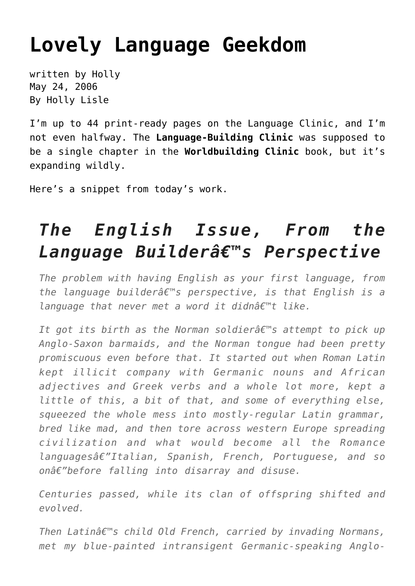## **[Lovely Language Geekdom](https://hollylisle.com/lovely-language-geekdom/)**

written by Holly May 24, 2006 [By Holly Lisle](https://hollylisle.com)

I'm up to 44 print-ready pages on the Language Clinic, and I'm not even halfway. The **Language-Building Clinic** was supposed to be a single chapter in the **Worldbuilding Clinic** book, but it's expanding wildly.

Here's a snippet from today's work.

## *The English Issue, From the Language Builder's Perspective*

*The problem with having English as your first language, from the language builder's perspective, is that English is a language that never met a word it didn't like.* 

*It got its birth as the Norman soldierâ€*<sup>™</sup>s attempt to pick up *Anglo-Saxon barmaids, and the Norman tongue had been pretty promiscuous even before that. It started out when Roman Latin kept illicit company with Germanic nouns and African adjectives and Greek verbs and a whole lot more, kept a little of this, a bit of that, and some of everything else, squeezed the whole mess into mostly-regular Latin grammar, bred like mad, and then tore across western Europe spreading civilization and what would become all the Romance languages—Italian, Spanish, French, Portuguese, and so*  $onâ€" before falling into disarray and disuse.$ 

*Centuries passed, while its clan of offspring shifted and evolved.*

*Then Latin's child Old French, carried by invading Normans, met my blue-painted intransigent Germanic-speaking Anglo-*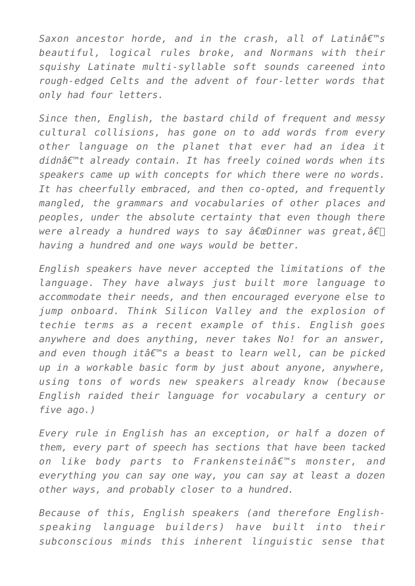*Saxon ancestor horde, and in the crash, all of Latinâ€*<sup>™</sup>s *beautiful, logical rules broke, and Normans with their squishy Latinate multi-syllable soft sounds careened into rough-edged Celts and the advent of four-letter words that only had four letters.*

*Since then, English, the bastard child of frequent and messy cultural collisions, has gone on to add words from every other language on the planet that ever had an idea it didn't already contain. It has freely coined words when its speakers came up with concepts for which there were no words. It has cheerfully embraced, and then co-opted, and frequently mangled, the grammars and vocabularies of other places and peoples, under the absolute certainty that even though there were already a hundred ways to say "Dinner was great,â€*∏ *having a hundred and one ways would be better.*

*English speakers have never accepted the limitations of the language. They have always just built more language to accommodate their needs, and then encouraged everyone else to jump onboard. Think Silicon Valley and the explosion of techie terms as a recent example of this. English goes anywhere and does anything, never takes No! for an answer,* and even though *itâ€*<sup>™</sup>s a beast to learn well, can be picked *up in a workable basic form by just about anyone, anywhere, using tons of words new speakers already know (because English raided their language for vocabulary a century or five ago.)*

*Every rule in English has an exception, or half a dozen of them, every part of speech has sections that have been tacked on like body parts to Frankenstein's monster, and everything you can say one way, you can say at least a dozen other ways, and probably closer to a hundred.*

*Because of this, English speakers (and therefore Englishspeaking language builders) have built into their subconscious minds this inherent linguistic sense that*